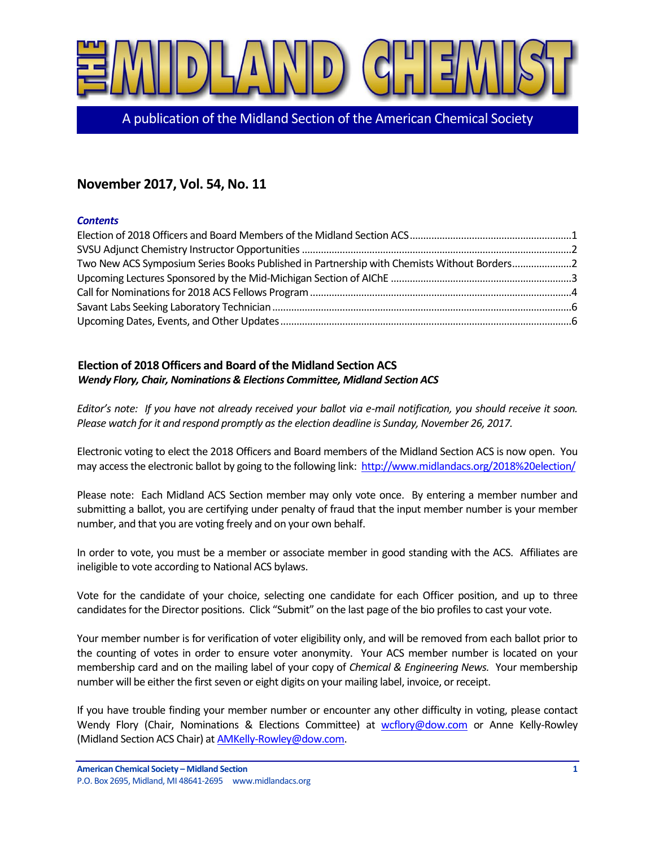

A publication of the Midland Section of the American Chemical Society

# **November 2017, Vol. 54, No. 11**

#### *Contents*

| Two New ACS Symposium Series Books Published in Partnership with Chemists Without Borders2 |  |
|--------------------------------------------------------------------------------------------|--|
|                                                                                            |  |
|                                                                                            |  |
|                                                                                            |  |
|                                                                                            |  |

## <span id="page-0-0"></span>**Election of 2018 Officers and Board of the Midland Section ACS** *Wendy Flory, Chair, Nominations & Elections Committee, Midland Section ACS*

*Editor's note: If you have not already received your ballot via e-mail notification, you should receive it soon. Please watch for it and respond promptly as the election deadline is Sunday, November 26, 2017.*

Electronic voting to elect the 2018 Officers and Board members of the Midland Section ACS is now open. You may access the electronic ballot by going to the following link:<http://www.midlandacs.org/2018%20election/>

Please note: Each Midland ACS Section member may only vote once. By entering a member number and submitting a ballot, you are certifying under penalty of fraud that the input member number is your member number, and that you are voting freely and on your own behalf.

In order to vote, you must be a member or associate member in good standing with the ACS. Affiliates are ineligible to vote according to National ACS bylaws.

Vote for the candidate of your choice, selecting one candidate for each Officer position, and up to three candidates for the Director positions. Click "Submit" on the last page of the bio profiles to cast your vote.

Your member number is for verification of voter eligibility only, and will be removed from each ballot prior to the counting of votes in order to ensure voter anonymity. Your ACS member number is located on your membership card and on the mailing label of your copy of *Chemical & Engineering News.* Your membership number will be either the first seven or eight digits on your mailing label, invoice, or receipt.

If you have trouble finding your member number or encounter any other difficulty in voting, please contact Wendy Flory (Chair, Nominations & Elections Committee) at [wcflory@dow.com](mailto:wcflory@dow.com) or Anne Kelly-Rowley (Midland Section ACS Chair) a[t AMKelly-Rowley@dow.com.](mailto:AMKelly-Rowley@dow.com)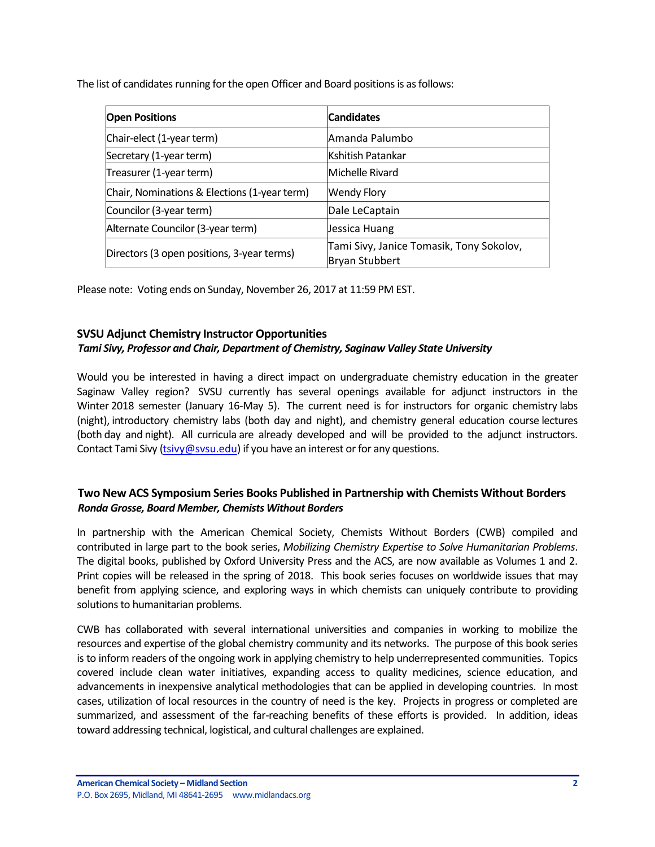The list of candidates running for the open Officer and Board positions is as follows:

| <b>Open Positions</b>                        | <b>Candidates</b>                                                 |
|----------------------------------------------|-------------------------------------------------------------------|
| Chair-elect (1-year term)                    | Amanda Palumbo                                                    |
| Secretary (1-year term)                      | Kshitish Patankar                                                 |
| Treasurer (1-year term)                      | Michelle Rivard                                                   |
| Chair, Nominations & Elections (1-year term) | <b>Wendy Flory</b>                                                |
| Councilor (3-year term)                      | Dale LeCaptain                                                    |
| Alternate Councilor (3-year term)            | Jessica Huang                                                     |
| Directors (3 open positions, 3-year terms)   | Tami Sivy, Janice Tomasik, Tony Sokolov,<br><b>Bryan Stubbert</b> |

Please note: Voting ends on Sunday, November 26, 2017 at 11:59 PM EST.

## <span id="page-1-0"></span>**SVSU Adjunct Chemistry Instructor Opportunities**

## *Tami Sivy, Professor and Chair, Department of Chemistry, Saginaw Valley State University*

Would you be interested in having a direct impact on undergraduate chemistry education in the greater Saginaw Valley region? SVSU currently has several openings available for adjunct instructors in the Winter 2018 semester (January 16-May 5). The current need is for instructors for organic chemistry labs (night), introductory chemistry labs (both day and night), and chemistry general education course lectures (both day and night). All curricula are already developed and will be provided to the adjunct instructors. Contact Tami Sivy [\(tsivy@svsu.edu\)](mailto:tsivy@svsu.edu) if you have an interest or for any questions.

## <span id="page-1-1"></span>**Two New ACS Symposium Series Books Published in Partnership with Chemists Without Borders** *Ronda Grosse, Board Member, Chemists Without Borders*

In partnership with the American Chemical Society, Chemists Without Borders (CWB) compiled and contributed in large part to the book series, *Mobilizing Chemistry Expertise to Solve Humanitarian Problems*. The digital books, published by Oxford University Press and the ACS, are now available as Volumes 1 and 2. Print copies will be released in the spring of 2018. This book series focuses on worldwide issues that may benefit from applying science, and exploring ways in which chemists can uniquely contribute to providing solutions to humanitarian problems.

CWB has collaborated with several international universities and companies in working to mobilize the resources and expertise of the global chemistry community and its networks. The purpose of this book series is to inform readers of the ongoing work in applying chemistry to help underrepresented communities. Topics covered include clean water initiatives, expanding access to quality medicines, science education, and advancements in inexpensive analytical methodologies that can be applied in developing countries. In most cases, utilization of local resources in the country of need is the key. Projects in progress or completed are summarized, and assessment of the far-reaching benefits of these efforts is provided. In addition, ideas toward addressing technical, logistical, and cultural challenges are explained.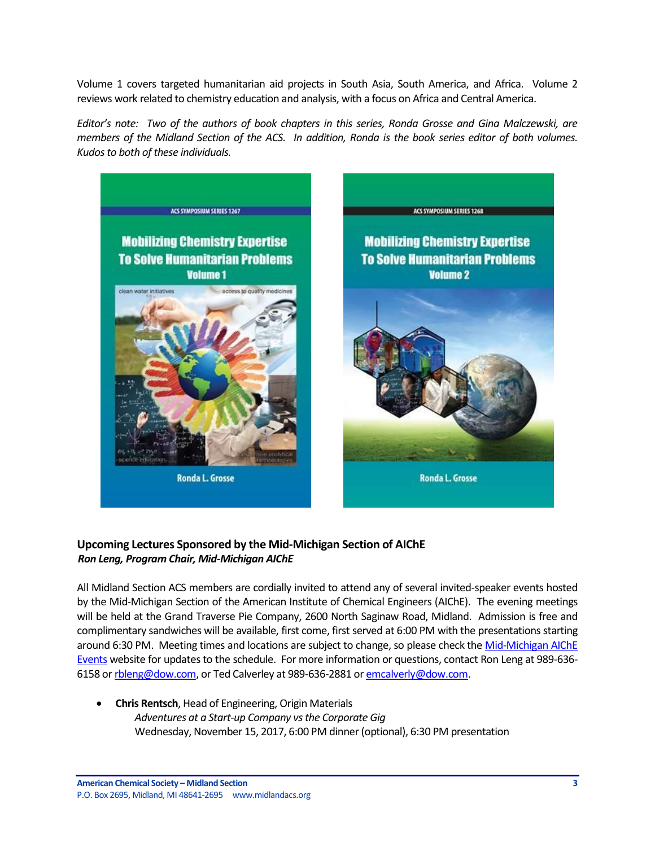Volume 1 covers targeted humanitarian aid projects in South Asia, South America, and Africa. Volume 2 reviews work related to chemistry education and analysis, with a focus on Africa and Central America.

*Editor's note: Two of the authors of book chapters in this series, Ronda Grosse and Gina Malczewski, are members of the Midland Section of the ACS. In addition, Ronda is the book series editor of both volumes. Kudos to both of these individuals.*



## <span id="page-2-0"></span>**Upcoming Lectures Sponsored by the Mid-Michigan Section of AIChE** *Ron Leng, Program Chair, Mid-Michigan AIChE*

All Midland Section ACS members are cordially invited to attend any of several invited-speaker events hosted by the Mid-Michigan Section of the American Institute of Chemical Engineers (AIChE). The evening meetings will be held at the Grand Traverse Pie Company, 2600 North Saginaw Road, Midland. Admission is free and complimentary sandwiches will be available, first come, first served at 6:00 PM with the presentations starting around 6:30 PM. Meeting times and locations are subject to change, so please check the Mid-Michigan AIChE [Events](https://www.aiche.org/community/sites/local-sections/mid-michigan/events) website for updates to the schedule. For more information or questions, contact Ron Leng at 989-636 6158 o[r rbleng@dow.com,](mailto:rbleng@dow.com) or Ted Calverley at 989-636-2881 o[r emcalverly@dow.com.](mailto:emcalverly@dow.com)

 **Chris Rentsch**, Head of Engineering, Origin Materials *Adventures at a Start-up Company vs the Corporate Gig* Wednesday, November 15, 2017, 6:00 PM dinner (optional), 6:30 PM presentation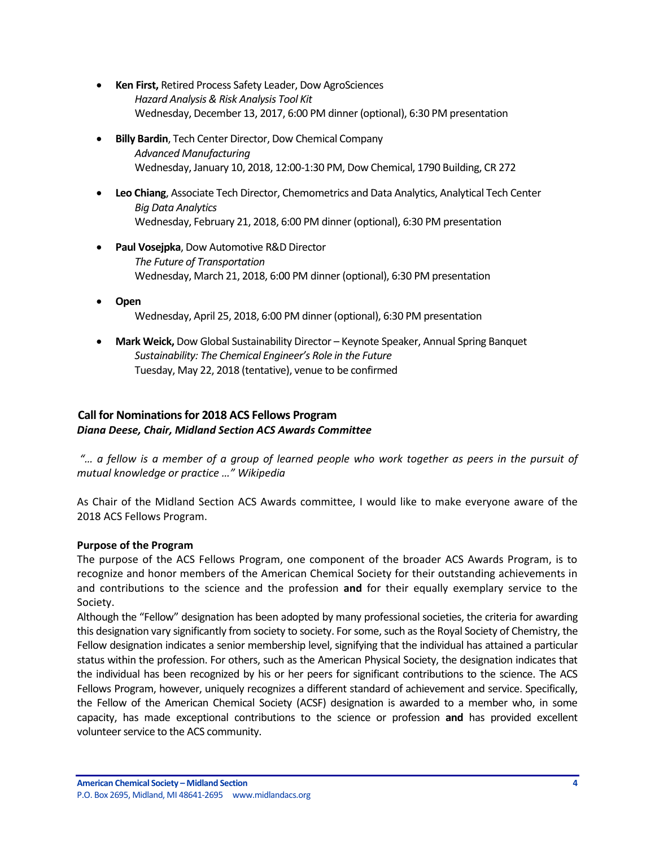- **Ken First,** Retired Process Safety Leader, Dow AgroSciences *Hazard Analysis & Risk Analysis Tool Kit* Wednesday, December 13, 2017, 6:00 PM dinner (optional), 6:30 PM presentation
- **Billy Bardin**, Tech Center Director, Dow Chemical Company *Advanced Manufacturing* Wednesday, January 10, 2018, 12:00-1:30 PM, Dow Chemical, 1790 Building, CR 272
- **Leo Chiang**, Associate Tech Director, Chemometrics and Data Analytics, Analytical Tech Center *Big Data Analytics* Wednesday, February 21, 2018, 6:00 PM dinner (optional), 6:30 PM presentation
- **Paul Vosejpka**, Dow Automotive R&D Director *The Future of Transportation* Wednesday, March 21, 2018, 6:00 PM dinner (optional), 6:30 PM presentation
- **Open** Wednesday, April 25, 2018, 6:00 PM dinner (optional), 6:30 PM presentation
- **Mark Weick,** Dow Global Sustainability Director Keynote Speaker, Annual Spring Banquet *Sustainability: The Chemical Engineer's Role in the Future* Tuesday, May 22, 2018 (tentative), venue to be confirmed

## <span id="page-3-0"></span>**Call for Nominations for 2018 ACS Fellows Program** *Diana Deese, Chair, Midland Section ACS Awards Committee*

*"… a fellow is a member of a group of learned people who work together as peers in the pursuit of mutual knowledge or practice …" Wikipedia*

As Chair of the Midland Section ACS Awards committee, I would like to make everyone aware of the 2018 ACS Fellows Program.

## **Purpose of the Program**

The purpose of the ACS Fellows Program, one component of the broader ACS Awards Program, is to recognize and honor members of the American Chemical Society for their outstanding achievements in and contributions to the science and the profession **and** for their equally exemplary service to the Society.

Although the "Fellow" designation has been adopted by many professional societies, the criteria for awarding this designation vary significantly from society to society. For some, such as the Royal Society of Chemistry, the Fellow designation indicates a senior membership level, signifying that the individual has attained a particular status within the profession. For others, such as the American Physical Society, the designation indicates that the individual has been recognized by his or her peers for significant contributions to the science. The ACS Fellows Program, however, uniquely recognizes a different standard of achievement and service. Specifically, the Fellow of the American Chemical Society (ACSF) designation is awarded to a member who, in some capacity, has made exceptional contributions to the science or profession **and** has provided excellent volunteer service to the ACS community.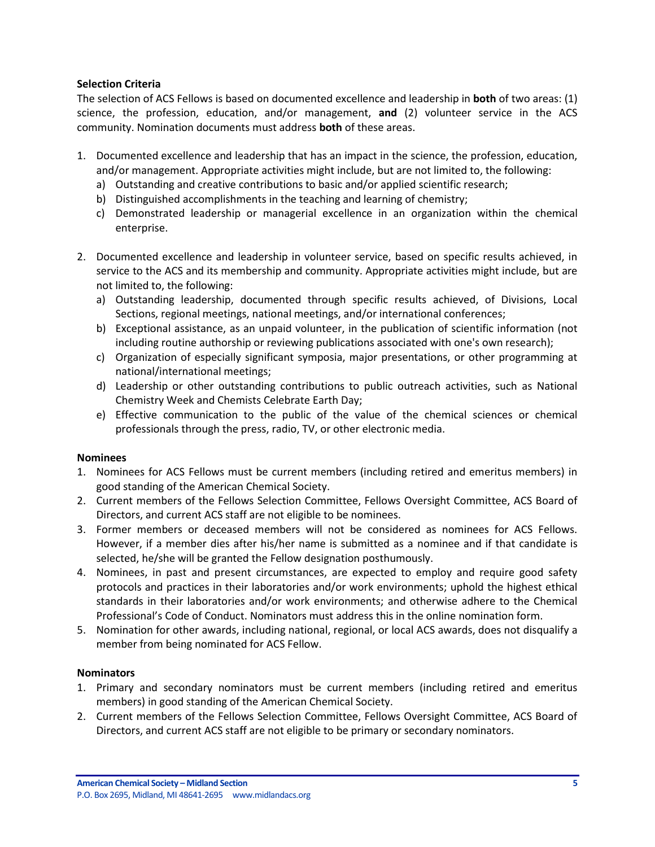#### **Selection Criteria**

The selection of ACS Fellows is based on documented excellence and leadership in **both** of two areas: (1) science, the profession, education, and/or management, **and** (2) volunteer service in the ACS community. Nomination documents must address **both** of these areas.

- 1. Documented excellence and leadership that has an impact in the science, the profession, education, and/or management. Appropriate activities might include, but are not limited to, the following:
	- a) Outstanding and creative contributions to basic and/or applied scientific research;
	- b) Distinguished accomplishments in the teaching and learning of chemistry;
	- c) Demonstrated leadership or managerial excellence in an organization within the chemical enterprise.
- 2. Documented excellence and leadership in volunteer service, based on specific results achieved, in service to the ACS and its membership and community. Appropriate activities might include, but are not limited to, the following:
	- a) Outstanding leadership, documented through specific results achieved, of Divisions, Local Sections, regional meetings, national meetings, and/or international conferences;
	- b) Exceptional assistance, as an unpaid volunteer, in the publication of scientific information (not including routine authorship or reviewing publications associated with one's own research);
	- c) Organization of especially significant symposia, major presentations, or other programming at national/international meetings;
	- d) Leadership or other outstanding contributions to public outreach activities, such as National Chemistry Week and Chemists Celebrate Earth Day;
	- e) Effective communication to the public of the value of the chemical sciences or chemical professionals through the press, radio, TV, or other electronic media.

#### **Nominees**

- 1. Nominees for ACS Fellows must be current members (including retired and emeritus members) in good standing of the American Chemical Society.
- 2. Current members of the Fellows Selection Committee, Fellows Oversight Committee, ACS Board of Directors, and current ACS staff are not eligible to be nominees.
- 3. Former members or deceased members will not be considered as nominees for ACS Fellows. However, if a member dies after his/her name is submitted as a nominee and if that candidate is selected, he/she will be granted the Fellow designation posthumously.
- 4. Nominees, in past and present circumstances, are expected to employ and require good safety protocols and practices in their laboratories and/or work environments; uphold the highest ethical standards in their laboratories and/or work environments; and otherwise adhere to the Chemical Professional's Code of Conduct. Nominators must address this in the online nomination form.
- 5. Nomination for other awards, including national, regional, or local ACS awards, does not disqualify a member from being nominated for ACS Fellow.

## **Nominators**

- 1. Primary and secondary nominators must be current members (including retired and emeritus members) in good standing of the American Chemical Society.
- 2. Current members of the Fellows Selection Committee, Fellows Oversight Committee, ACS Board of Directors, and current ACS staff are not eligible to be primary or secondary nominators.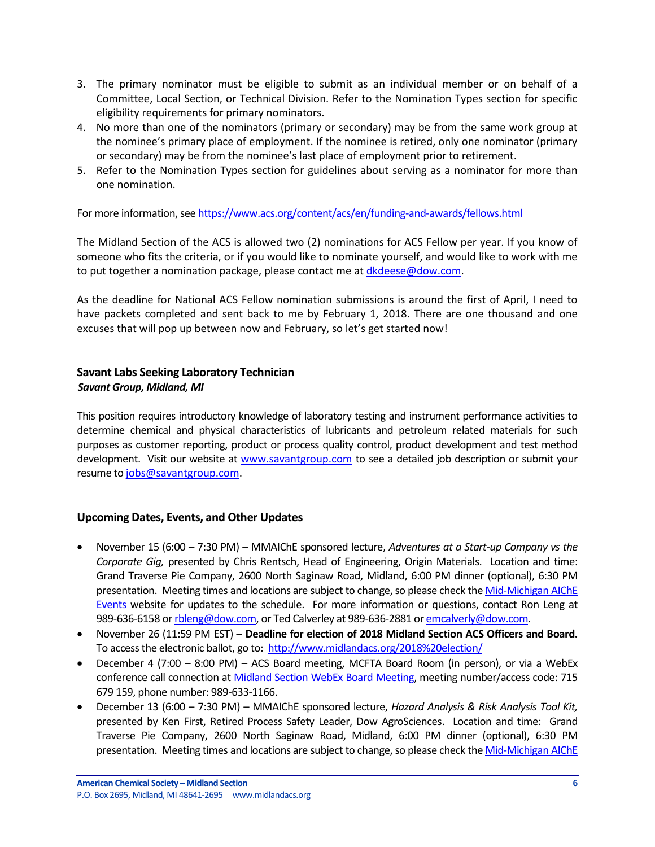- 3. The primary nominator must be eligible to submit as an individual member or on behalf of a Committee, Local Section, or Technical Division. Refer to the Nomination Types section for specific eligibility requirements for primary nominators.
- 4. No more than one of the nominators (primary or secondary) may be from the same work group at the nominee's primary place of employment. If the nominee is retired, only one nominator (primary or secondary) may be from the nominee's last place of employment prior to retirement.
- 5. Refer to the Nomination Types section for guidelines about serving as a nominator for more than one nomination.

For more information, see <https://www.acs.org/content/acs/en/funding-and-awards/fellows.html>

The Midland Section of the ACS is allowed two (2) nominations for ACS Fellow per year. If you know of someone who fits the criteria, or if you would like to nominate yourself, and would like to work with me to put together a nomination package, please contact me a[t dkdeese@dow.com.](mailto:dkdeese@dow.com)

As the deadline for National ACS Fellow nomination submissions is around the first of April, I need to have packets completed and sent back to me by February 1, 2018. There are one thousand and one excuses that will pop up between now and February, so let's get started now!

## <span id="page-5-0"></span>**Savant Labs Seeking Laboratory Technician** *Savant Group, Midland, MI*

This position requires introductory knowledge of laboratory testing and instrument performance activities to determine chemical and physical characteristics of lubricants and petroleum related materials for such purposes as customer reporting, product or process quality control, product development and test method development. Visit our website at [www.savantgroup.com](https://na01.safelinks.protection.outlook.com/?url=http%3A%2F%2Fwww.savantgroup.com&data=02%7C01%7Cmmt_u249822185022160332011%40mgd.bsnconnect.com%7Cb5fde9de8d8b497729e008d501ea3f9a%7Cc3e32f53cb7f4809968d1cc4ccc785fe%7C0%7C0%7C636417027977082651&sdata=e1f5AJZkFJcpohwjOvq1RKI8ylq8ZHMB102GPbYr3sI%3D&reserved=0) to see a detailed job description or submit your resume t[o jobs@savantgroup.com.](mailto:jobs@savantgroup.com)

## <span id="page-5-1"></span>**Upcoming Dates, Events, and Other Updates**

- November 15 (6:00 7:30 PM) MMAIChE sponsored lecture, *Adventures at a Start-up Company vs the Corporate Gig,* presented by Chris Rentsch, Head of Engineering, Origin Materials. Location and time: Grand Traverse Pie Company, 2600 North Saginaw Road, Midland, 6:00 PM dinner (optional), 6:30 PM presentation. Meeting times and locations are subject to change, so please check the Mid-Michigan AIChE [Events](https://www.aiche.org/community/sites/local-sections/mid-michigan/events) website for updates to the schedule. For more information or questions, contact Ron Leng at 989-636-6158 o[r rbleng@dow.com,](mailto:rbleng@dow.com) or Ted Calverley at 989-636-2881 o[r emcalverly@dow.com.](mailto:emcalverly@dow.com)
- November 26 (11:59 PM EST) **Deadline for election of 2018 Midland Section ACS Officers and Board.** To access the electronic ballot, go to:<http://www.midlandacs.org/2018%20election/>
- December 4 (7:00 8:00 PM) ACS Board meeting, MCFTA Board Room (in person), or via a WebEx conference call connection a[t Midland Section WebEx Board Meeting,](https://dow.webex.com/mw3000/mywebex/default.do?service=1&main_url=%2Fmc3000%2Fe.do%3Fsiteurl%3Ddow%26AT%3DMI%26EventID%3D538213622%26MTID%3Dm6bd6812daaa9d053419d46f18be71c21%26Host%3DQUhTSwAAAAPRH17xdc850TNaqrXu82wV-x3jpjs_D1dcXCIzwwarRBsk7pqoTNERtE0mHQqtuB7HjPq8_OGpd7FHFnEY78fm0%26FrameSet%3D2&siteurl=dow&nomenu=true) meeting number/access code: 715 679 159, phone number: 989-633-1166.
- December 13 (6:00 7:30 PM) MMAIChE sponsored lecture, *Hazard Analysis & Risk Analysis Tool Kit,* presented by Ken First, Retired Process Safety Leader, Dow AgroSciences. Location and time: Grand Traverse Pie Company, 2600 North Saginaw Road, Midland, 6:00 PM dinner (optional), 6:30 PM presentation. Meeting times and locations are subject to change, so please check the Mid-Michigan AIChE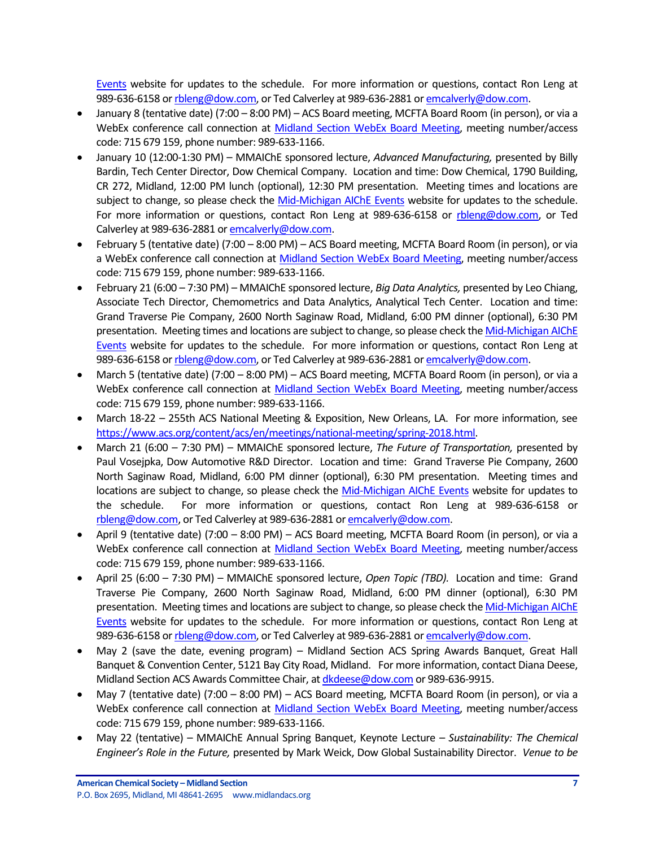[Events](https://www.aiche.org/community/sites/local-sections/mid-michigan/events) website for updates to the schedule. For more information or questions, contact Ron Leng at 989-636-6158 o[r rbleng@dow.com,](mailto:rbleng@dow.com) or Ted Calverley at 989-636-2881 o[r emcalverly@dow.com.](mailto:emcalverly@dow.com)

- January 8 (tentative date) (7:00 8:00 PM) ACS Board meeting, MCFTA Board Room (in person), or via a WebEx conference call connection at [Midland Section WebEx Board Meeting,](https://dow.webex.com/mw3000/mywebex/default.do?service=1&main_url=%2Fmc3000%2Fe.do%3Fsiteurl%3Ddow%26AT%3DMI%26EventID%3D538213622%26MTID%3Dm6bd6812daaa9d053419d46f18be71c21%26Host%3DQUhTSwAAAAPRH17xdc850TNaqrXu82wV-x3jpjs_D1dcXCIzwwarRBsk7pqoTNERtE0mHQqtuB7HjPq8_OGpd7FHFnEY78fm0%26FrameSet%3D2&siteurl=dow&nomenu=true) meeting number/access code: 715 679 159, phone number: 989-633-1166.
- January 10 (12:00-1:30 PM) MMAIChE sponsored lecture, *Advanced Manufacturing,* presented by Billy Bardin, Tech Center Director, Dow Chemical Company. Location and time: Dow Chemical, 1790 Building, CR 272, Midland, 12:00 PM lunch (optional), 12:30 PM presentation. Meeting times and locations are subject to change, so please check the [Mid-Michigan AIChE Events](https://www.aiche.org/community/sites/local-sections/mid-michigan/events) website for updates to the schedule. For more information or questions, contact Ron Leng at 989-636-6158 or [rbleng@dow.com,](mailto:rbleng@dow.com) or Ted Calverley at 989-636-2881 o[r emcalverly@dow.com.](mailto:emcalverly@dow.com)
- February 5 (tentative date) (7:00 8:00 PM) ACS Board meeting, MCFTA Board Room (in person), or via a WebEx conference call connection at [Midland Section WebEx Board Meeting,](https://dow.webex.com/mw3000/mywebex/default.do?service=1&main_url=%2Fmc3000%2Fe.do%3Fsiteurl%3Ddow%26AT%3DMI%26EventID%3D538213622%26MTID%3Dm6bd6812daaa9d053419d46f18be71c21%26Host%3DQUhTSwAAAAPRH17xdc850TNaqrXu82wV-x3jpjs_D1dcXCIzwwarRBsk7pqoTNERtE0mHQqtuB7HjPq8_OGpd7FHFnEY78fm0%26FrameSet%3D2&siteurl=dow&nomenu=true) meeting number/access code: 715 679 159, phone number: 989-633-1166.
- February 21 (6:00 7:30 PM) MMAIChE sponsored lecture, *Big Data Analytics,* presented by Leo Chiang, Associate Tech Director, Chemometrics and Data Analytics, Analytical Tech Center. Location and time: Grand Traverse Pie Company, 2600 North Saginaw Road, Midland, 6:00 PM dinner (optional), 6:30 PM presentation. Meeting times and locations are subject to change, so please check th[e Mid-Michigan AIChE](https://www.aiche.org/community/sites/local-sections/mid-michigan/events)  [Events](https://www.aiche.org/community/sites/local-sections/mid-michigan/events) website for updates to the schedule. For more information or questions, contact Ron Leng at 989-636-6158 o[r rbleng@dow.com,](mailto:rbleng@dow.com) or Ted Calverley at 989-636-2881 o[r emcalverly@dow.com.](mailto:emcalverly@dow.com)
- March 5 (tentative date) (7:00 8:00 PM) ACS Board meeting, MCFTA Board Room (in person), or via a WebEx conference call connection at [Midland Section WebEx Board Meeting,](https://dow.webex.com/mw3000/mywebex/default.do?service=1&main_url=%2Fmc3000%2Fe.do%3Fsiteurl%3Ddow%26AT%3DMI%26EventID%3D538213622%26MTID%3Dm6bd6812daaa9d053419d46f18be71c21%26Host%3DQUhTSwAAAAPRH17xdc850TNaqrXu82wV-x3jpjs_D1dcXCIzwwarRBsk7pqoTNERtE0mHQqtuB7HjPq8_OGpd7FHFnEY78fm0%26FrameSet%3D2&siteurl=dow&nomenu=true) meeting number/access code: 715 679 159, phone number: 989-633-1166.
- March 18-22 255th ACS National Meeting & Exposition, New Orleans, LA. For more information, see [https://www.acs.org/content/acs/en/meetings/national-meeting/spring-2018.html.](https://www.acs.org/content/acs/en/meetings/national-meeting/spring-2018.html)
- March 21 (6:00 7:30 PM) MMAIChE sponsored lecture, *The Future of Transportation,* presented by Paul Vosejpka, Dow Automotive R&D Director. Location and time: Grand Traverse Pie Company, 2600 North Saginaw Road, Midland, 6:00 PM dinner (optional), 6:30 PM presentation. Meeting times and locations are subject to change, so please check the [Mid-Michigan AIChE Events](https://www.aiche.org/community/sites/local-sections/mid-michigan/events) website for updates to the schedule. For more information or questions, contact Ron Leng at 989-636-6158 or [rbleng@dow.com,](mailto:rbleng@dow.com) or Ted Calverley at 989-636-2881 o[r emcalverly@dow.com.](mailto:emcalverly@dow.com)
- April 9 (tentative date) (7:00 8:00 PM) ACS Board meeting, MCFTA Board Room (in person), or via a WebEx conference call connection at [Midland Section WebEx Board Meeting,](https://dow.webex.com/mw3000/mywebex/default.do?service=1&main_url=%2Fmc3000%2Fe.do%3Fsiteurl%3Ddow%26AT%3DMI%26EventID%3D538213622%26MTID%3Dm6bd6812daaa9d053419d46f18be71c21%26Host%3DQUhTSwAAAAPRH17xdc850TNaqrXu82wV-x3jpjs_D1dcXCIzwwarRBsk7pqoTNERtE0mHQqtuB7HjPq8_OGpd7FHFnEY78fm0%26FrameSet%3D2&siteurl=dow&nomenu=true) meeting number/access code: 715 679 159, phone number: 989-633-1166.
- April 25 (6:00 7:30 PM) MMAIChE sponsored lecture, *Open Topic (TBD).* Location and time: Grand Traverse Pie Company, 2600 North Saginaw Road, Midland, 6:00 PM dinner (optional), 6:30 PM presentation. Meeting times and locations are subject to change, so please check th[e Mid-Michigan AIChE](https://www.aiche.org/community/sites/local-sections/mid-michigan/events)  [Events](https://www.aiche.org/community/sites/local-sections/mid-michigan/events) website for updates to the schedule. For more information or questions, contact Ron Leng at 989-636-6158 o[r rbleng@dow.com,](mailto:rbleng@dow.com) or Ted Calverley at 989-636-2881 o[r emcalverly@dow.com.](mailto:emcalverly@dow.com)
- May 2 (save the date, evening program) Midland Section ACS Spring Awards Banquet, Great Hall Banquet & Convention Center, 5121 Bay City Road, Midland. For more information, contact Diana Deese, Midland Section ACS Awards Committee Chair, a[t dkdeese@dow.com](mailto:dkdeese@dow.com) or 989-636-9915.
- May 7 (tentative date) (7:00 8:00 PM) ACS Board meeting, MCFTA Board Room (in person), or via a WebEx conference call connection at [Midland Section WebEx Board Meeting,](https://dow.webex.com/mw3000/mywebex/default.do?service=1&main_url=%2Fmc3000%2Fe.do%3Fsiteurl%3Ddow%26AT%3DMI%26EventID%3D538213622%26MTID%3Dm6bd6812daaa9d053419d46f18be71c21%26Host%3DQUhTSwAAAAPRH17xdc850TNaqrXu82wV-x3jpjs_D1dcXCIzwwarRBsk7pqoTNERtE0mHQqtuB7HjPq8_OGpd7FHFnEY78fm0%26FrameSet%3D2&siteurl=dow&nomenu=true) meeting number/access code: 715 679 159, phone number: 989-633-1166.
- May 22 (tentative) MMAIChE Annual Spring Banquet, Keynote Lecture *Sustainability: The Chemical Engineer's Role in the Future,* presented by Mark Weick, Dow Global Sustainability Director. *Venue to be*